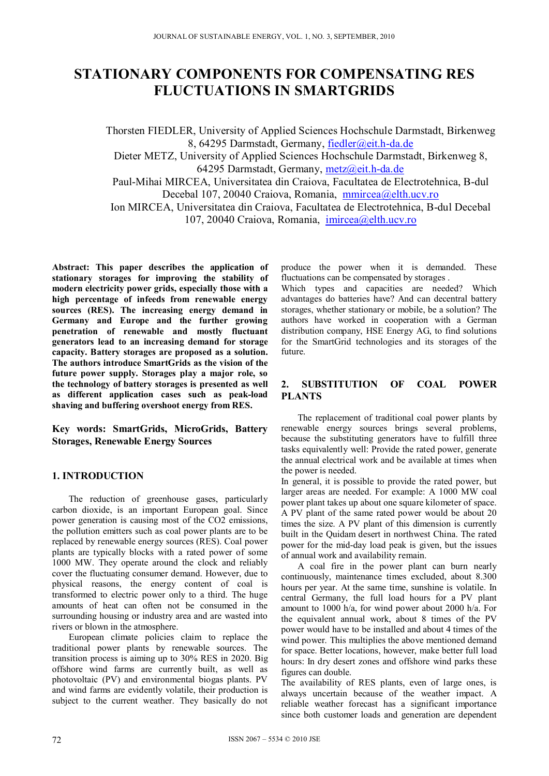# **STATIONARY COMPONENTS FOR COMPENSATING RES FLUCTUATIONS IN SMARTGRIDS**

Thorsten FIEDLER, University of Applied Sciences Hochschule Darmstadt, Birkenweg 8, 64295 Darmstadt, Germany, fiedler@eit.h-da.de Dieter METZ, University of Applied Sciences Hochschule Darmstadt, Birkenweg 8, 64295 Darmstadt, Germany, metz@eit.h-da.de Paul-Mihai MIRCEA, Universitatea din Craiova, Facultatea de Electrotehnica, B-dul Decebal 107, 20040 Craiova, Romania, mmircea@elth.ucv.ro Ion MIRCEA, Universitatea din Craiova, Facultatea de Electrotehnica, B-dul Decebal 107, 20040 Craiova, Romania, imircea@elth.ucv.ro

**Abstract: This paper describes the application of stationary storages for improving the stability of modern electricity power grids, especially those with a high percentage of infeeds from renewable energy sources (RES). The increasing energy demand in Germany and Europe and the further growing penetration of renewable and mostly fluctuant generators lead to an increasing demand for storage capacity. Battery storages are proposed as a solution. The authors introduce SmartGrids as the vision of the future power supply. Storages play a major role, so the technology of battery storages is presented as well as different application cases such as peak-load shaving and buffering overshoot energy from RES.** 

**Key words: SmartGrids, MicroGrids, Battery Storages, Renewable Energy Sources** 

# **1. INTRODUCTION**

The reduction of greenhouse gases, particularly carbon dioxide, is an important European goal. Since power generation is causing most of the CO2 emissions, the pollution emitters such as coal power plants are to be replaced by renewable energy sources (RES). Coal power plants are typically blocks with a rated power of some 1000 MW. They operate around the clock and reliably cover the fluctuating consumer demand. However, due to physical reasons, the energy content of coal is transformed to electric power only to a third. The huge amounts of heat can often not be consumed in the surrounding housing or industry area and are wasted into rivers or blown in the atmosphere.

European climate policies claim to replace the traditional power plants by renewable sources. The transition process is aiming up to 30% RES in 2020. Big offshore wind farms are currently built, as well as photovoltaic (PV) and environmental biogas plants. PV and wind farms are evidently volatile, their production is subject to the current weather. They basically do not

produce the power when it is demanded. These fluctuations can be compensated by storages .

Which types and capacities are needed? Which advantages do batteries have? And can decentral battery storages, whether stationary or mobile, be a solution? The authors have worked in cooperation with a German distribution company, HSE Energy AG, to find solutions for the SmartGrid technologies and its storages of the future.

### **2. SUBSTITUTION OF COAL POWER PLANTS**

The replacement of traditional coal power plants by renewable energy sources brings several problems, because the substituting generators have to fulfill three tasks equivalently well: Provide the rated power, generate the annual electrical work and be available at times when the power is needed.

In general, it is possible to provide the rated power, but larger areas are needed. For example: A 1000 MW coal power plant takes up about one square kilometer of space. A PV plant of the same rated power would be about 20 times the size. A PV plant of this dimension is currently built in the Quidam desert in northwest China. The rated power for the mid-day load peak is given, but the issues of annual work and availability remain.

A coal fire in the power plant can burn nearly continuously, maintenance times excluded, about 8.300 hours per year. At the same time, sunshine is volatile. In central Germany, the full load hours for a PV plant amount to 1000 h/a, for wind power about 2000 h/a. For the equivalent annual work, about 8 times of the PV power would have to be installed and about 4 times of the wind power. This multiplies the above mentioned demand for space. Better locations, however, make better full load hours: In dry desert zones and offshore wind parks these figures can double.

The availability of RES plants, even of large ones, is always uncertain because of the weather impact. A reliable weather forecast has a significant importance since both customer loads and generation are dependent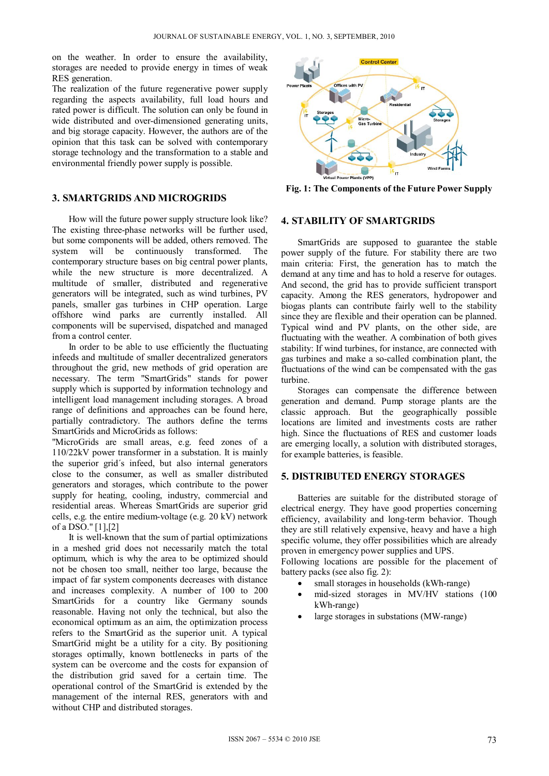on the weather. In order to ensure the availability, storages are needed to provide energy in times of weak RES generation.

The realization of the future regenerative power supply regarding the aspects availability, full load hours and rated power is difficult. The solution can only be found in wide distributed and over-dimensioned generating units, and big storage capacity. However, the authors are of the opinion that this task can be solved with contemporary storage technology and the transformation to a stable and environmental friendly power supply is possible.

#### **3. SMARTGRIDS AND MICROGRIDS**

How will the future power supply structure look like? The existing three-phase networks will be further used, but some components will be added, others removed. The system will be continuously transformed. The contemporary structure bases on big central power plants, while the new structure is more decentralized. A multitude of smaller, distributed and regenerative generators will be integrated, such as wind turbines, PV panels, smaller gas turbines in CHP operation. Large offshore wind parks are currently installed. All components will be supervised, dispatched and managed from a control center.

In order to be able to use efficiently the fluctuating infeeds and multitude of smaller decentralized generators throughout the grid, new methods of grid operation are necessary. The term "SmartGrids" stands for power supply which is supported by information technology and intelligent load management including storages. A broad range of definitions and approaches can be found here, partially contradictory. The authors define the terms SmartGrids and MicroGrids as follows:

"MicroGrids are small areas, e.g. feed zones of a 110/22kV power transformer in a substation. It is mainly the superior grid´s infeed, but also internal generators close to the consumer, as well as smaller distributed generators and storages, which contribute to the power supply for heating, cooling, industry, commercial and residential areas. Whereas SmartGrids are superior grid cells, e.g. the entire medium-voltage (e.g. 20 kV) network of a DSO." [1],[2]

It is well-known that the sum of partial optimizations in a meshed grid does not necessarily match the total optimum, which is why the area to be optimized should not be chosen too small, neither too large, because the impact of far system components decreases with distance and increases complexity. A number of 100 to 200 SmartGrids for a country like Germany sounds reasonable. Having not only the technical, but also the economical optimum as an aim, the optimization process refers to the SmartGrid as the superior unit. A typical SmartGrid might be a utility for a city. By positioning storages optimally, known bottlenecks in parts of the system can be overcome and the costs for expansion of the distribution grid saved for a certain time. The operational control of the SmartGrid is extended by the management of the internal RES, generators with and without CHP and distributed storages.



**Fig. 1: The Components of the Future Power Supply** 

#### **4. STABILITY OF SMARTGRIDS**

SmartGrids are supposed to guarantee the stable power supply of the future. For stability there are two main criteria: First, the generation has to match the demand at any time and has to hold a reserve for outages. And second, the grid has to provide sufficient transport capacity. Among the RES generators, hydropower and biogas plants can contribute fairly well to the stability since they are flexible and their operation can be planned. Typical wind and PV plants, on the other side, are fluctuating with the weather. A combination of both gives stability: If wind turbines, for instance, are connected with gas turbines and make a so-called combination plant, the fluctuations of the wind can be compensated with the gas turbine.

Storages can compensate the difference between generation and demand. Pump storage plants are the classic approach. But the geographically possible locations are limited and investments costs are rather high. Since the fluctuations of RES and customer loads are emerging locally, a solution with distributed storages, for example batteries, is feasible.

#### **5. DISTRIBUTED ENERGY STORAGES**

Batteries are suitable for the distributed storage of electrical energy. They have good properties concerning efficiency, availability and long-term behavior. Though they are still relatively expensive, heavy and have a high specific volume, they offer possibilities which are already proven in emergency power supplies and UPS.

Following locations are possible for the placement of battery packs (see also fig. 2):

- small storages in households (kWh-range)
- mid-sized storages in MV/HV stations (100 kWh-range)
- large storages in substations (MW-range)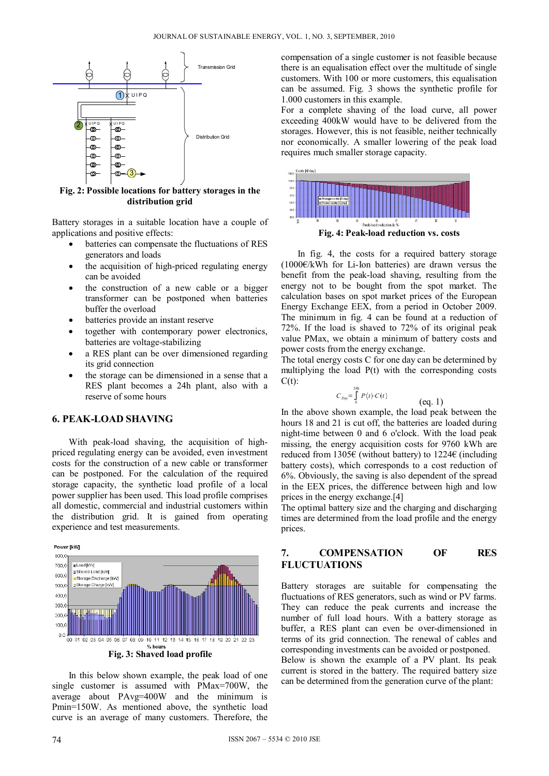

**Fig. 2: Possible locations for battery storages in the distribution grid** 

Battery storages in a suitable location have a couple of applications and positive effects:

- batteries can compensate the fluctuations of RES generators and loads
- the acquisition of high-priced regulating energy can be avoided
- the construction of a new cable or a bigger transformer can be postponed when batteries buffer the overload
- batteries provide an instant reserve
- together with contemporary power electronics, batteries are voltage-stabilizing
- a RES plant can be over dimensioned regarding its grid connection
- the storage can be dimensioned in a sense that a RES plant becomes a 24h plant, also with a reserve of some hours

#### **6. PEAK-LOAD SHAVING**

With peak-load shaving, the acquisition of highpriced regulating energy can be avoided, even investment costs for the construction of a new cable or transformer can be postponed. For the calculation of the required storage capacity, the synthetic load profile of a local power supplier has been used. This load profile comprises all domestic, commercial and industrial customers within the distribution grid. It is gained from operating experience and test measurements.



**Fig. 3: Shaved load profile** 

In this below shown example, the peak load of one single customer is assumed with PMax=700W, the average about PAvg=400W and the minimum is Pmin=150W. As mentioned above, the synthetic load curve is an average of many customers. Therefore, the compensation of a single customer is not feasible because there is an equalisation effect over the multitude of single customers. With 100 or more customers, this equalisation can be assumed. Fig. 3 shows the synthetic profile for 1.000 customers in this example.

For a complete shaving of the load curve, all power exceeding 400kW would have to be delivered from the storages. However, this is not feasible, neither technically nor economically. A smaller lowering of the peak load requires much smaller storage capacity.



**Fig. 4: Peak-load reduction vs. costs** 

In fig. 4, the costs for a required battery storage (1000€/kWh for Li-Ion batteries) are drawn versus the benefit from the peak-load shaving, resulting from the energy not to be bought from the spot market. The calculation bases on spot market prices of the European Energy Exchange EEX, from a period in October 2009. The minimum in fig. 4 can be found at a reduction of 72%. If the load is shaved to 72% of its original peak value PMax, we obtain a minimum of battery costs and power costs from the energy exchange.

The total energy costs C for one day can be determined by multiplying the load P(t) with the corresponding costs  $C(t)$ :

$$
C_{Day} = \int_{0}^{24h} P(t) \cdot C(t) \tag{eq. 1}
$$

In the above shown example, the load peak between the hours 18 and 21 is cut off, the batteries are loaded during night-time between 0 and 6 o'clock. With the load peak missing, the energy acquisition costs for 9760 kWh are reduced from 1305€ (without battery) to 1224€ (including battery costs), which corresponds to a cost reduction of 6%. Obviously, the saving is also dependent of the spread in the EEX prices, the difference between high and low prices in the energy exchange.[4]

The optimal battery size and the charging and discharging times are determined from the load profile and the energy prices.

#### **7. COMPENSATION OF RES FLUCTUATIONS**

Battery storages are suitable for compensating the fluctuations of RES generators, such as wind or PV farms. They can reduce the peak currents and increase the number of full load hours. With a battery storage as buffer, a RES plant can even be over-dimensioned in terms of its grid connection. The renewal of cables and corresponding investments can be avoided or postponed. Below is shown the example of a PV plant. Its peak current is stored in the battery. The required battery size can be determined from the generation curve of the plant: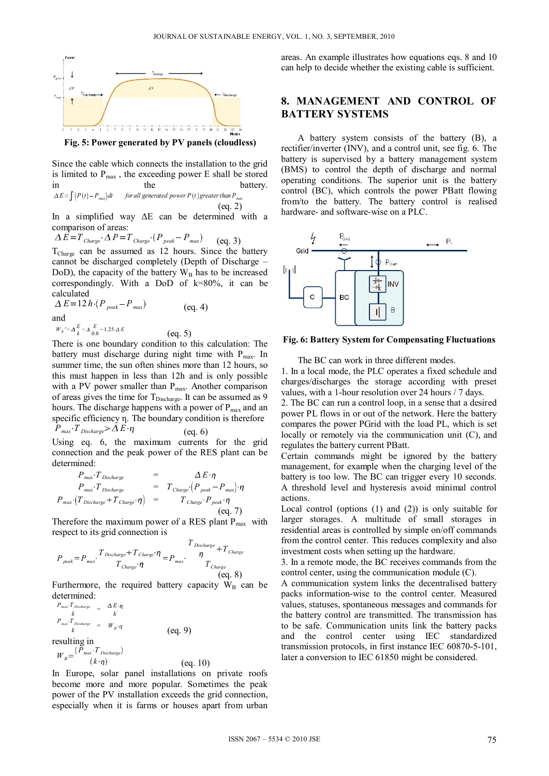

**Fig. 5: Power generated by PV panels (cloudless)** 

Since the cable which connects the installation to the grid is limited to  $P_{max}$ , the exceeding power E shall be stored in the battery.  $\Delta E = \int_{0}^{R} (P(t) - P_{max}) dt$  *for all generated power*  $P(t)$  *greater than*  $P_{max}$ (eq. 2)

In a simplified way ΔE can be determined with a comparison of areas:

$$
\Delta E = T_{\text{charge}} \cdot \Delta P = T_{\text{charge}} \cdot (P_{\text{peak}} - P_{\text{max}}) \quad (eq. 3)
$$

T<sub>Charge</sub> can be assumed as 12 hours. Since the battery cannot be discharged completely (Depth of Discharge – DoD), the capacity of the battery  $W_B$  has to be increased correspondingly. With a DoD of k=80%, it can be calculated

 $\Delta E = 12 h \cdot (P_{peak} - P_{max})$  (eq. 4) and  $W_B$ <sup>*'*</sup> –  $\Delta \frac{E}{k}$  –  $\Delta \frac{E}{0.8}$  – 1.25  $\Delta E$ 

 (eq. 5) There is one boundary condition to this calculation: The battery must discharge during night time with  $P_{\text{max}}$ . In summer time, the sun often shines more than 12 hours, so this must happen in less than 12h and is only possible with a PV power smaller than  $P_{\text{max}}$ . Another comparison of areas gives the time for  $T_{Discharge}$ . It can be assumed as 9 hours. The discharge happens with a power of  $P_{max}$  and an specific efficiency η. The boundary condition is therefore  $P_{max} \cdot T_{Discharge} > \Delta E \cdot \eta$  (eq. 6)

Using eq. 6, the maximum currents for the grid connection and the peak power of the RES plant can be determined:

$$
P_{max} \cdot T_{Discharge} = \Delta E \cdot \eta
$$
  
\n
$$
P_{max} \cdot T_{Discharge} = T_{Charge} \cdot (\rho_{peak} - \rho_{max}) \cdot \eta
$$
  
\n
$$
P_{max} \cdot (T_{Discharge} + T_{Charge} \cdot \eta) = T_{Charge} \cdot P_{peak} \cdot \eta
$$
  
\n
$$
T_{Clarge} \cdot \rho_{peak} \cdot \eta
$$
  
\n
$$
(eq. 7)
$$

Therefore the maximum power of a RES plant  $P_{\text{max}}$  with respect to its grid connection is

$$
P_{peak} = P_{max} \frac{T_{Discharge} + T_{Change} \cdot \eta}{T_{Change} \cdot \eta} = P_{max} \frac{T_{Discharge} + T_{Change}}{T_{charge} \cdot \eta}
$$
\n
$$
(eq. 8)
$$

Furthermore, the required battery capacity  $W_B$  can be determined:

$$
P_{max} \cdot T_{Discharge} = \Delta E \cdot \eta
$$
\n
$$
P_{max} \cdot T_{Discharge} = W_B \cdot \eta
$$
\n
$$
R_{max} \cdot T_{Discharge} = W_B \cdot \eta
$$
\n
$$
W_B = \frac{(P_{max} \cdot T_{Discharge})}{(k \cdot \eta)}
$$
\n
$$
(eq. 10)
$$

In Europe, solar panel installations on private roofs become more and more popular. Sometimes the peak power of the PV installation exceeds the grid connection, especially when it is farms or houses apart from urban areas. An example illustrates how equations eqs. 8 and 10 can help to decide whether the existing cable is sufficient.

## **8. MANAGEMENT AND CONTROL OF BATTERY SYSTEMS**

A battery system consists of the battery (B), a rectifier/inverter (INV), and a control unit, see fig. 6. The battery is supervised by a battery management system (BMS) to control the depth of discharge and normal operating conditions. The superior unit is the battery control (BC), which controls the power PBatt flowing from/to the battery. The battery control is realised hardware- and software-wise on a PLC.



**Fig. 6: Battery System for Compensating Fluctuations** 

The BC can work in three different modes.

1. In a local mode, the PLC operates a fixed schedule and charges/discharges the storage according with preset values, with a 1-hour resolution over 24 hours / 7 days.

2. The BC can run a control loop, in a sense that a desired power PL flows in or out of the network. Here the battery compares the power PGrid with the load PL, which is set locally or remotely via the communication unit (C), and regulates the battery current PBatt.

Certain commands might be ignored by the battery management, for example when the charging level of the battery is too low. The BC can trigger every 10 seconds. A threshold level and hysteresis avoid minimal control actions.

Local control (options (1) and (2)) is only suitable for larger storages. A multitude of small storages in residential areas is controlled by simple on/off commands from the control center. This reduces complexity and also investment costs when setting up the hardware.

3. In a remote mode, the BC receives commands from the control center, using the communication module (C).

A communication system links the decentralised battery packs information-wise to the control center. Measured values, statuses, spontaneous messages and commands for the battery control are transmitted. The transmission has to be safe. Communication units link the battery packs and the control center using IEC standardized transmission protocols, in first instance IEC 60870-5-101, later a conversion to IEC 61850 might be considered.